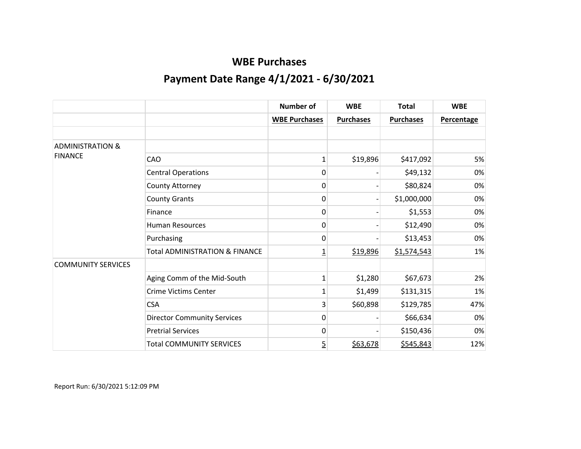|                             |                                           | <b>Number of</b>     | <b>WBE</b>       | <b>Total</b>     | <b>WBE</b>        |
|-----------------------------|-------------------------------------------|----------------------|------------------|------------------|-------------------|
|                             |                                           | <b>WBE Purchases</b> | <b>Purchases</b> | <b>Purchases</b> | <b>Percentage</b> |
|                             |                                           |                      |                  |                  |                   |
| <b>ADMINISTRATION &amp;</b> |                                           |                      |                  |                  |                   |
| <b>FINANCE</b>              | CAO                                       | 1                    | \$19,896         | \$417,092        | 5%                |
|                             | <b>Central Operations</b>                 | 0                    |                  | \$49,132         | 0%                |
|                             | County Attorney                           | 0                    |                  | \$80,824         | 0%                |
|                             | <b>County Grants</b>                      | 0                    |                  | \$1,000,000      | 0%                |
|                             | Finance                                   | 0                    |                  | \$1,553          | 0%                |
|                             | <b>Human Resources</b>                    | 0                    |                  | \$12,490         | 0%                |
|                             | Purchasing                                | 0                    |                  | \$13,453         | 0%                |
|                             | <b>Total ADMINISTRATION &amp; FINANCE</b> | $\overline{1}$       | \$19,896         | \$1,574,543      | 1%                |
| <b>COMMUNITY SERVICES</b>   |                                           |                      |                  |                  |                   |
|                             | Aging Comm of the Mid-South               | 1                    | \$1,280          | \$67,673         | 2%                |
|                             | <b>Crime Victims Center</b>               | 1                    | \$1,499          | \$131,315        | 1%                |
|                             | <b>CSA</b>                                | 3                    | \$60,898         | \$129,785        | 47%               |
|                             | <b>Director Community Services</b>        | 0                    |                  | \$66,634         | 0%                |
|                             | <b>Pretrial Services</b>                  | 0                    |                  | \$150,436        | 0%                |
|                             | <b>Total COMMUNITY SERVICES</b>           | $\overline{5}$       | \$63,678         | \$545,843        | 12%               |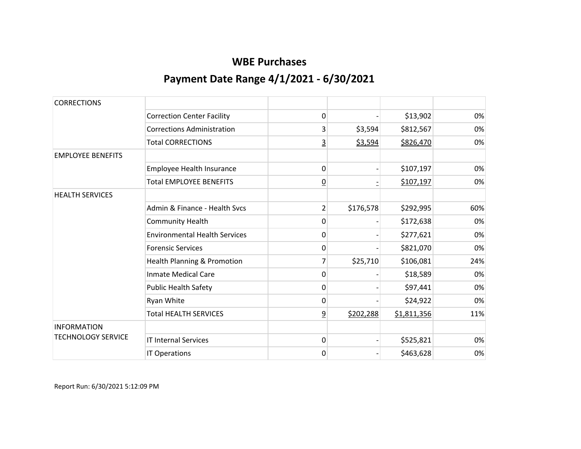| <b>CORRECTIONS</b>        |                                      |                |           |             |     |
|---------------------------|--------------------------------------|----------------|-----------|-------------|-----|
|                           | <b>Correction Center Facility</b>    | 0              |           | \$13,902    | 0%  |
|                           | <b>Corrections Administration</b>    | 3              | \$3,594   | \$812,567   | 0%  |
|                           | <b>Total CORRECTIONS</b>             | $\overline{3}$ | \$3,594   | \$826,470   | 0%  |
| <b>EMPLOYEE BENEFITS</b>  |                                      |                |           |             |     |
|                           | Employee Health Insurance            | 0              |           | \$107,197   | 0%  |
|                           | <b>Total EMPLOYEE BENEFITS</b>       | $\overline{0}$ |           | \$107,197   | 0%  |
| <b>HEALTH SERVICES</b>    |                                      |                |           |             |     |
|                           | Admin & Finance - Health Sycs        | $\overline{2}$ | \$176,578 | \$292,995   | 60% |
|                           | <b>Community Health</b>              | 0              |           | \$172,638   | 0%  |
|                           | <b>Environmental Health Services</b> | 0              |           | \$277,621   | 0%  |
|                           | <b>Forensic Services</b>             | $\mathbf 0$    |           | \$821,070   | 0%  |
|                           | Health Planning & Promotion          | 7              | \$25,710  | \$106,081   | 24% |
|                           | <b>Inmate Medical Care</b>           | 0              |           | \$18,589    | 0%  |
|                           | <b>Public Health Safety</b>          | 0              |           | \$97,441    | 0%  |
|                           | Ryan White                           | 0              |           | \$24,922    | 0%  |
|                           | <b>Total HEALTH SERVICES</b>         | $\overline{9}$ | \$202,288 | \$1,811,356 | 11% |
| <b>INFORMATION</b>        |                                      |                |           |             |     |
| <b>TECHNOLOGY SERVICE</b> | <b>IT Internal Services</b>          | $\mathbf 0$    |           | \$525,821   | 0%  |
|                           | IT Operations                        | 0              |           | \$463,628   | 0%  |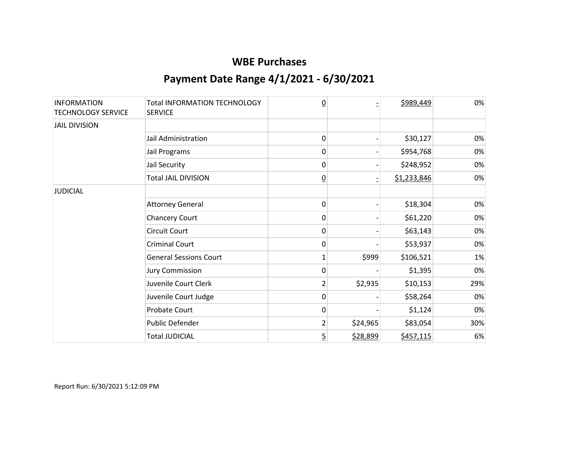| <b>INFORMATION</b><br><b>TECHNOLOGY SERVICE</b> | <b>Total INFORMATION TECHNOLOGY</b><br><b>SERVICE</b> | $\overline{0}$  |          | \$989,449   | 0%  |
|-------------------------------------------------|-------------------------------------------------------|-----------------|----------|-------------|-----|
| <b>JAIL DIVISION</b>                            |                                                       |                 |          |             |     |
|                                                 | Jail Administration                                   | 0               |          | \$30,127    | 0%  |
|                                                 | Jail Programs                                         | 0               |          | \$954,768   | 0%  |
|                                                 | Jail Security                                         | 0               |          | \$248,952   | 0%  |
|                                                 | <b>Total JAIL DIVISION</b>                            | $\underline{0}$ |          | \$1,233,846 | 0%  |
| <b>JUDICIAL</b>                                 |                                                       |                 |          |             |     |
|                                                 | <b>Attorney General</b>                               | 0               |          | \$18,304    | 0%  |
|                                                 | <b>Chancery Court</b>                                 | 0               |          | \$61,220    | 0%  |
|                                                 | <b>Circuit Court</b>                                  | 0               |          | \$63,143    | 0%  |
|                                                 | <b>Criminal Court</b>                                 | 0               |          | \$53,937    | 0%  |
|                                                 | <b>General Sessions Court</b>                         | 1               | \$999    | \$106,521   | 1%  |
|                                                 | <b>Jury Commission</b>                                | 0               |          | \$1,395     | 0%  |
|                                                 | Juvenile Court Clerk                                  | $\overline{2}$  | \$2,935  | \$10,153    | 29% |
|                                                 | Juvenile Court Judge                                  | 0               |          | \$58,264    | 0%  |
|                                                 | Probate Court                                         | 0               |          | \$1,124     | 0%  |
|                                                 | Public Defender                                       | $\overline{2}$  | \$24,965 | \$83,054    | 30% |
|                                                 | <b>Total JUDICIAL</b>                                 | $\overline{5}$  | \$28,899 | \$457,115   | 6%  |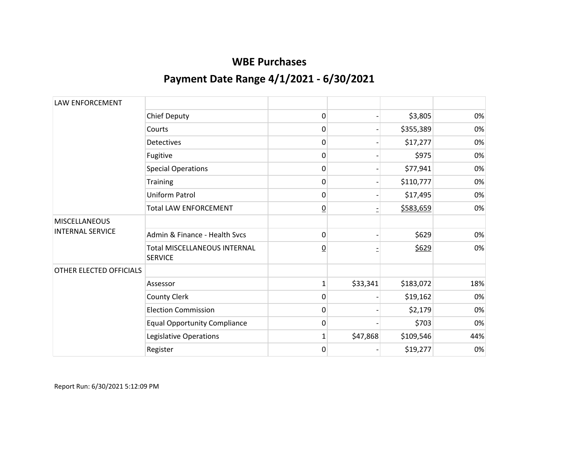| LAW ENFORCEMENT                                 |                                                       |                 |          |           |     |
|-------------------------------------------------|-------------------------------------------------------|-----------------|----------|-----------|-----|
|                                                 | <b>Chief Deputy</b>                                   | 0               |          | \$3,805   | 0%  |
|                                                 | Courts                                                | 0               |          | \$355,389 | 0%  |
|                                                 | <b>Detectives</b>                                     | 0               |          | \$17,277  | 0%  |
|                                                 | Fugitive                                              | 0               |          | \$975     | 0%  |
|                                                 | <b>Special Operations</b>                             | 0               |          | \$77,941  | 0%  |
|                                                 | Training                                              | 0               |          | \$110,777 | 0%  |
|                                                 | Uniform Patrol                                        | 0               |          | \$17,495  | 0%  |
|                                                 | <b>Total LAW ENFORCEMENT</b>                          | $\overline{0}$  |          | \$583,659 | 0%  |
| <b>MISCELLANEOUS</b><br><b>INTERNAL SERVICE</b> |                                                       |                 |          |           |     |
|                                                 | Admin & Finance - Health Sycs                         | 0               |          | \$629     | 0%  |
|                                                 | <b>Total MISCELLANEOUS INTERNAL</b><br><b>SERVICE</b> | $\underline{0}$ |          | \$629     | 0%  |
| OTHER ELECTED OFFICIALS                         |                                                       |                 |          |           |     |
|                                                 | Assessor                                              | $\mathbf{1}$    | \$33,341 | \$183,072 | 18% |
|                                                 | County Clerk                                          | 0               |          | \$19,162  | 0%  |
|                                                 | <b>Election Commission</b>                            | 0               |          | \$2,179   | 0%  |
|                                                 | <b>Equal Opportunity Compliance</b>                   | 0               |          | \$703     | 0%  |
|                                                 | Legislative Operations                                | $\mathbf{1}$    | \$47,868 | \$109,546 | 44% |
|                                                 | Register                                              | 0               |          | \$19,277  | 0%  |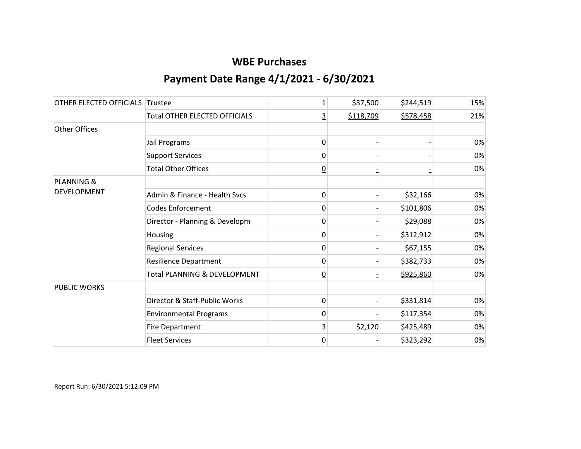| OTHER ELECTED OFFICIALS Trustee |                                      | 1              | \$37,500  | \$244,519 | 15% |
|---------------------------------|--------------------------------------|----------------|-----------|-----------|-----|
|                                 | <b>Total OTHER ELECTED OFFICIALS</b> | 3              | \$118,709 | \$578,458 | 21% |
| <b>Other Offices</b>            |                                      |                |           |           |     |
|                                 | Jail Programs                        | 0              |           |           | 0%  |
|                                 | <b>Support Services</b>              | 0              |           |           | 0%  |
|                                 | <b>Total Other Offices</b>           | $\overline{0}$ |           |           | 0%  |
| <b>PLANNING &amp;</b>           |                                      |                |           |           |     |
| <b>DEVELOPMENT</b>              | Admin & Finance - Health Svcs        | 0              |           | \$32,166  | 0%  |
|                                 | <b>Codes Enforcement</b>             | 0              |           | \$101,806 | 0%  |
|                                 | Director - Planning & Developm       | 0              |           | \$29,088  | 0%  |
|                                 | Housing                              | 0              |           | \$312,912 | 0%  |
|                                 | <b>Regional Services</b>             | 0              |           | \$67,155  | 0%  |
|                                 | Resilience Department                | 0              |           | \$382,733 | 0%  |
|                                 | Total PLANNING & DEVELOPMENT         | $\overline{0}$ |           | \$925,860 | 0%  |
| <b>PUBLIC WORKS</b>             |                                      |                |           |           |     |
|                                 | Director & Staff-Public Works        | 0              |           | \$331,814 | 0%  |
|                                 | <b>Environmental Programs</b>        | 0              |           | \$117,354 | 0%  |
|                                 | <b>Fire Department</b>               | 3              | \$2,120   | \$425,489 | 0%  |
|                                 | <b>Fleet Services</b>                | 0              |           | \$323,292 | 0%  |